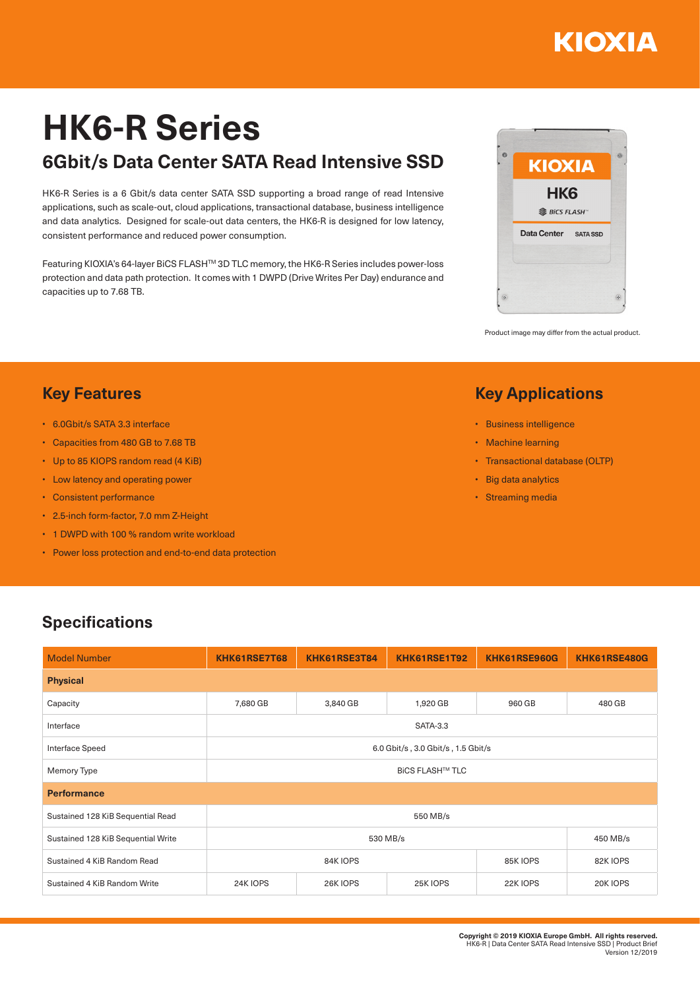# ΚΙΟΧΙΑ

# **HK6-R Series 6Gbit/s Data Center SATA Read Intensive SSD**

HK6-R Series is a 6 Gbit/s data center SATA SSD supporting a broad range of read Intensive applications, such as scale-out, cloud applications, transactional database, business intelligence and data analytics. Designed for scale-out data centers, the HK6-R is designed for low latency, consistent performance and reduced power consumption.

Featuring KIOXIA's 64-layer BiCS FLASHTM 3D TLC memory, the HK6-R Series includes power-loss protection and data path protection. It comes with 1 DWPD (Drive Writes Per Day) endurance and capacities up to 7.68 TB.



Product image may differ from the actual product.

### **Key Applications**

- Business intelligence
- Machine learning
- Transactional database (OLTP)
- Big data analytics
- Streaming media

### **Key Features**

- 6.0Gbit/s SATA 3.3 interface
- Capacities from 480 GB to 7.68 TB
- Up to 85 KIOPS random read (4 KiB)
- Low latency and operating power
- Consistent performance
- 2.5-inch form-factor, 7.0 mm Z-Height
- 1 DWPD with 100 % random write workload
- Power loss protection and end-to-end data protection

#### **Specifications**

| <b>Model Number</b>                | KHK61RSE7T68                       | KHK61RSE3T84 | KHK61RSE1T92 | KHK61RSE960G | KHK61RSE480G |  |  |  |  |
|------------------------------------|------------------------------------|--------------|--------------|--------------|--------------|--|--|--|--|
| <b>Physical</b>                    |                                    |              |              |              |              |  |  |  |  |
| Capacity                           | 7,680 GB                           | 3,840 GB     | 1,920 GB     | 960 GB       | 480 GB       |  |  |  |  |
| Interface                          | <b>SATA-3.3</b>                    |              |              |              |              |  |  |  |  |
| Interface Speed                    | 6.0 Gbit/s, 3.0 Gbit/s, 1.5 Gbit/s |              |              |              |              |  |  |  |  |
| Memory Type                        | <b>BICS FLASH™ TLC</b>             |              |              |              |              |  |  |  |  |
| <b>Performance</b>                 |                                    |              |              |              |              |  |  |  |  |
| Sustained 128 KiB Sequential Read  | 550 MB/s                           |              |              |              |              |  |  |  |  |
| Sustained 128 KiB Sequential Write |                                    | 450 MB/s     |              |              |              |  |  |  |  |
| Sustained 4 KiB Random Read        | 84K IOPS<br>85K IOPS               |              |              |              | 82K IOPS     |  |  |  |  |
| Sustained 4 KiB Random Write       | 24K IOPS                           | 26K IOPS     | 25K IOPS     | 22K IOPS     | 20K IOPS     |  |  |  |  |